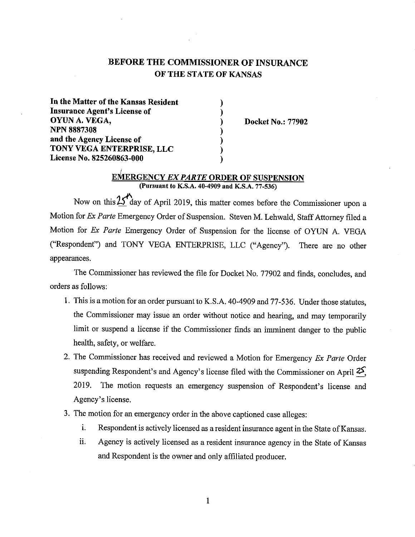# BEFORE THE COMMISSIONER OF INSURANCE OF THE STATE OF KANSAS

) ) ) ) ) ) )

In the Matter of the Kansas Resident Insurance Agent's License of OYUNA.VEGA, NPN 8887308 and the Agency License of TONY VEGA ENTERPRISE, LLC License No. 825260863-000

Docket No.: 77902

#### E~ERGENCY *EX PARTE* ORDER OF SUSPENSION (Pursuant to K.S.A. 40-4909 and K.S.A. 77-536)

Now on this  $25<sup>n</sup>$  day of April 2019, this matter comes before the Commissioner upon a Motion for *Ex Parte* Emergency Order of Suspension. Steven M. Lehwald, Staff Attorney filed a Motion for *Ex Parte* Emergency Order of Suspension for the license of OYUN A. VEGA ("Respondent") and TONY VEGA ENTERPRISE, LLC ("Agency"). There are no other appearances.

The Commissioner has reviewed the file for Docket No. 77902 and finds, concludes, and orders as follows:

- 1. This is a motion for an order pursuant to K.S.A. 40-4909 and 77-536. Under those statutes, the Commissioner may issue an order without notice and hearing, and may temporarily limit or suspend a license if the Commissioner finds an imminent danger to the public health, safety, or welfare.
- 2. The Commissioner has received and reviewed a Motion for Emergency *Ex Parte* Order suspending Respondent's and Agency's license filed with the Commissioner on April *zS;*  2019. The motion requests an emergency suspension of Respondent's license and Agency's license.
- 3. The motion for an emergency order in the above captioned case alleges:
	- i. Respondent is actively licensed as a resident insurance agent in the State of Kansas.
	- ii. Agency is actively licensed as a resident insurance agency in the State of Kansas and Respondent is the owner and only affiliated producer.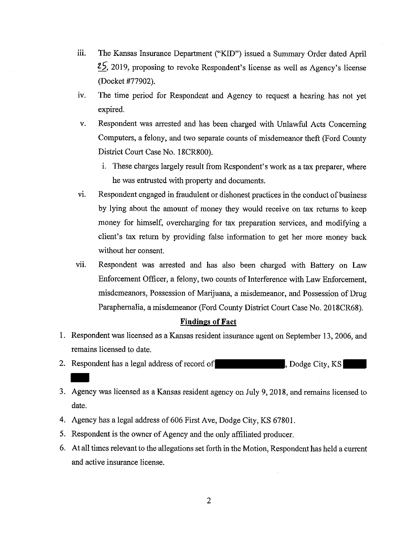- iii. The Kansas Insurance Department ("KID") issued a Summary Order dated April **25,** 2019, proposing to revoke Respondent's license as well as Agency's license (Docket #77902).
- 1v. The time period for Respondent and Agency to request a hearing has not yet expired.
- v. Respondent was arrested and has been charged with Unlawful Acts Concerning Computers, a felony, and two separate counts of misdemeanor theft (Ford County District Court Case No. 18CR800).
	- i. These charges largely result from Respondent's work as a tax preparer, where he was entrusted with property and documents.
- vi. Respondent engaged in fraudulent or dishonest practices in the conduct of business by lying about the amount of money they would receive on tax returns to keep money for himself, overcharging for tax preparation services, and modifying a client's tax return by providing false information to get her more money back without her consent.
- vii. Respondent was arrested and has also been charged with Battery on Law Enforcement Officer, a felony, two counts of Interference with Law Enforcement, misdemeanors, Possession of Marijuana, a misdemeanor, and Possession of Drug Paraphernalia, a misdemeanor (Ford County District Court Case No. 2018CR68).

## **Findings of Fact**

- 1. Respondent was licensed as a Kansas resident insurance agent on September 13, 2006, and remains licensed to date.
- 2. Respondent has a legal address of record of **Exercise 1.** Dodge City, KS
- 3. Agency was licensed as a Kansas resident agency on July 9, 2018, and remains licensed to date.
- 4. Agency has a legal address of 606 First Ave, Dodge City, KS 67801.
- 5. Respondent is the owner of Agency and the only affiliated producer.
- 6. At all times relevant to the allegations set forth in the Motion, Respondent has held a current and active insurance license.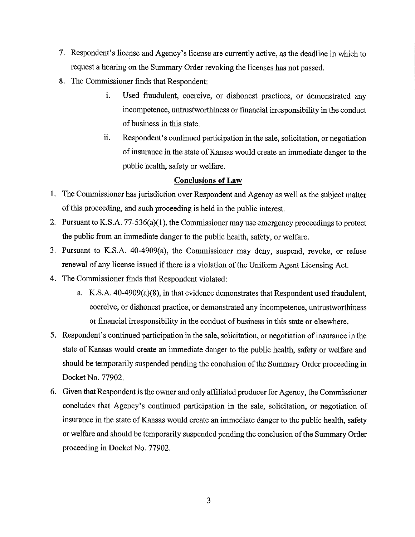- 7. Respondent's license and Agency's license are currently active, as the deadline in which to request a hearing on the Summary Order revoking the licenses has not passed.
- 8. The Commissioner finds that Respondent:
	- i. Used fraudulent, coercive, or dishonest practices, or demonstrated any incompetence, untrustworthiness or financial irresponsibility in the conduct of business in this state.
	- 11. Respondent's continued participation in the sale, solicitation, or negotiation of insurance in the state of Kansas would create an immediate danger to the public health, safety or welfare.

# **Conclusions of Law**

- 1. The Commissioner has jurisdiction over Respondent and Agency as well as the subject matter of this proceeding, and such proceeding is held in the public interest.
- 2. Pursuant to K.S.A. 77-536(a)(1), the Commissioner may use emergency proceedings to protect the public from an immediate danger to the public health, safety, or welfare.
- 3. Pursuant to K.S.A. 40-4909(a), the Commissioner may deny, suspend, revoke, or refuse renewal of any license issued if there is a violation of the Uniform Agent Licensing Act.
- 4. The Commissioner finds that Respondent violated:
	- a. K.S.A. 40-4909(a)(8), in that evidence demonstrates that Respondent used fraudulent, coercive, or dishonest practice, or demonstrated any incompetence, untrustworthiness or financial irresponsibility in the conduct of business in this state or elsewhere.
- 5. Respondent's continued participation in the sale, solicitation, or negotiation of insurance in the state of Kansas would create an immediate danger to the public health, safety or welfare and should be temporarily suspended pending the conclusion of the Summary Order proceeding in Docket No. 77902.
- 6. Given that Respondent is the owner and only affiliated producer for Agency, the Commissioner concludes that Agency's continued participation in the sale, solicitation, or negotiation of insurance in the state of Kansas would create an immediate danger to the public health, safety or welfare and should be temporarily suspended pending the conclusion of the Summary Order proceeding in Docket No. 77902.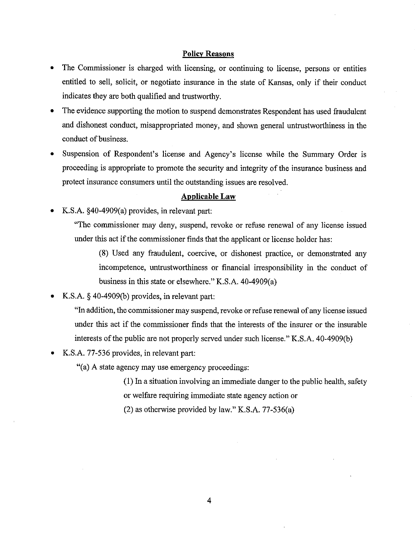#### **Policy Reasons**

- The Commissioner is charged with licensing, or continuing to license, persons or entities entitled to sell, solicit, or negotiate insurance in the state of Kansas, only if their conduct indicates they are both qualified and trustworthy.
- The evidence supporting the motion to suspend demonstrates Respondent has used fraudulent and dishonest conduct, misappropriated money, and shown general untrustworthiness in the conduct of business.
- Suspension of Respondent's license and Agency's license while the Summary Order is proceeding is appropriate to promote the security and integrity of the insurance business and protect insurance consumers until the outstanding issues are resolved.

#### **Applicable Law**

• K.S.A. §40-4909(a) provides, in relevant part:

"The commissioner may deny, suspend, revoke or refuse renewal of any license issued under this act if the commissioner finds that the applicant or license holder has:

(8) Used any fraudulent, coercive, or dishonest practice, or demonstrated any incompetence, untrustworthiness or financial irresponsibility in the conduct of business in this state or elsewhere." K.S.A. 40-4909(a)

• K.S.A. § 40-4909(b) provides, in relevant part:

"In addition, the commissioner may suspend, revoke or refuse renewal of any license issued under this act if the commissioner finds that the interests of the insurer or the insurable interests of the public are not properly served under such license." K.S.A. 40-4909(b)

• K.S.A. 77-536 provides, in relevant part:

"(a) A state agency may use emergency proceedings:

(1) In a situation involving an immediate danger to the public health, safety or welfare requiring immediate state agency action or

(2) as otherwise provided by law." K.S.A. 77-536(a)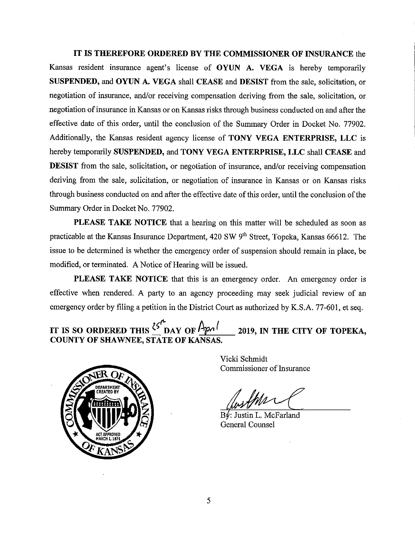**IT IS THEREFORE ORDERED BY THE COMMISSIONER OF INSURANCE** the Kansas resident insurance agent's license of **OYUN A. VEGA** is hereby temporarily **SUSPENDED, and OYUN A. VEGA** shall **CEASE** and **DESIST** from the sale, solicitation, or negotiation of insurance, and/or receiving compensation deriving from the sale, solicitation, or negotiation of insurance in Kansas or on Kansas risks through business conducted on and after the effective date of this order, until the conclusion of the Summary Order in Docket No. 77902. Additionally, the Kansas resident agency license of **TONY VEGA ENTERPRISE, LLC** is hereby temporarily **SUSPENDED, and TONY VEGA ENTERPRISE, LLC** shall **CEASE** and **DESIST** from the sale, solicitation, or negotiation of insurance, and/or receiving compensation deriving from the sale, solicitation, or negotiation of insurance in Kansas or on Kansas risks through business conducted on and after the effective date of this order; until the conclusion of the Summary Order in Docket No. 77902.

**PLEASE TAKE NOTICE** that a hearing on this matter will be scheduled as soon as practicable at the Kansas Insurance Department, 420 SW 9<sup>th</sup> Street, Topeka, Kansas 66612. The issue to be determined is whether the emergency order of suspension should remain in place, be modified, or terminated. A Notice of Hearing will be issued.

**PLEASE TAKE NOTICE** that this is an emergency order. An emergency order is effective when rendered. A party to an agency proceeding may seek judicial review of an emergency order by filing a petition in the District Court as authorized by K.S.A. 77-601, et seq.

**IT IS SO ORDERED THIS**  $\frac{\zeta^r}{2}$  **DAY OF**  $\frac{\Delta p_1}{r}$  **2019, IN THE CITY OF TOPEKA, COUNTY OF SHAWNEE, STATE OF KANSAS.** 



Vicki Schmidt Commissioner of Insurance

 $B\rlap/v$ : Justin L. McFarland General Counsel